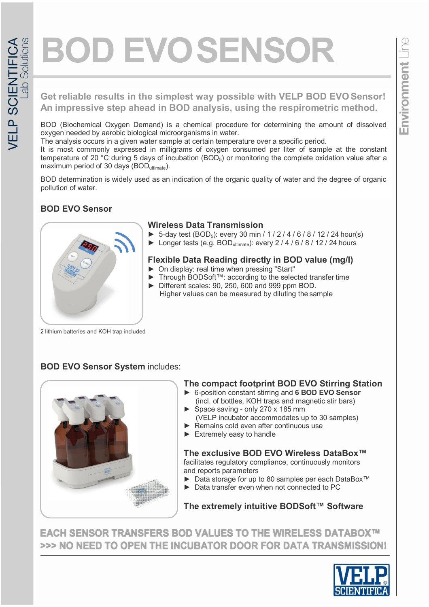# **BOD EVOSENSOR**

#### **Get reliable results in the simplest way possible with VELP BOD EVO Sensor! An impressive step ahead in BOD analysis, using the respirometric method.**

BOD (Biochemical Oxygen Demand) is a chemical procedure for determining the amount of dissolved oxygen needed by aerobic biological microorganisms in water.

The analysis occurs in a given water sample at certain temperature over a specific period.

It is most commonly expressed in milligrams of oxygen consumed per liter of sample at the constant temperature of 20 °C during 5 days of incubation (BOD<sub>5</sub>) or monitoring the complete oxidation value after a maximum period of 30 days (BOD<sub>ultimate</sub>).

BOD determination is widely used as an indication of the organic quality of water and the degree of organic pollution of water.

# **BOD EVO Sensor**

► ±

# **Wireless Data Transmission**

- ► 5-day test (BOD<sub>5</sub>): every 30 min / 1 / 2 / 4 / 6 / 8 / 12 / 24 hour(s)
- ► Longer tests (e.g. BOD<sub>ultimate</sub>): every  $2 / 4 / 6 / 8 / 12 / 24$  hours

#### **Flexible Data Reading directly in BOD value (mg/l)**

- ► On display: real time when pressing "Start"
- ► Through BODSoft™: according to the selected transfer time
- ► Different scales: 90, 250, 600 and 999 ppm BOD. Higher values can be measured by diluting the sample

2 lithium batteries and KOH trap included

## **BOD EVO Sensor System includes:**



## **The compact footprint BOD EVO Stirring Station**

- ► 6-position constant stirring and **6 BOD EVO Sensor** (incl. of bottles, KOH traps and magnetic stir bars)
- Space saving only 270 x 185 mm (VELP incubator accommodates up to 30 samples)
- Remains cold even after continuous use
- ► Extremely easy to handle

#### **The exclusive BOD EVO Wireless DataBox™**

facilitates regulatory compliance, continuously monitors and reports parameters

- ► Data storage for up to 80 samples per each DataBox™
- $\triangleright$  Data transfer even when not connected to PC

## **The extremely intuitive BODSoft™ Software**

**EACH SENSOR TRANSFERS BOD VALUES TO THE WIRELESS DATABOX™** >>> NO NEED TO OPEN THE INCUBATOR DOOR FOR DATA TRANSMISSION!